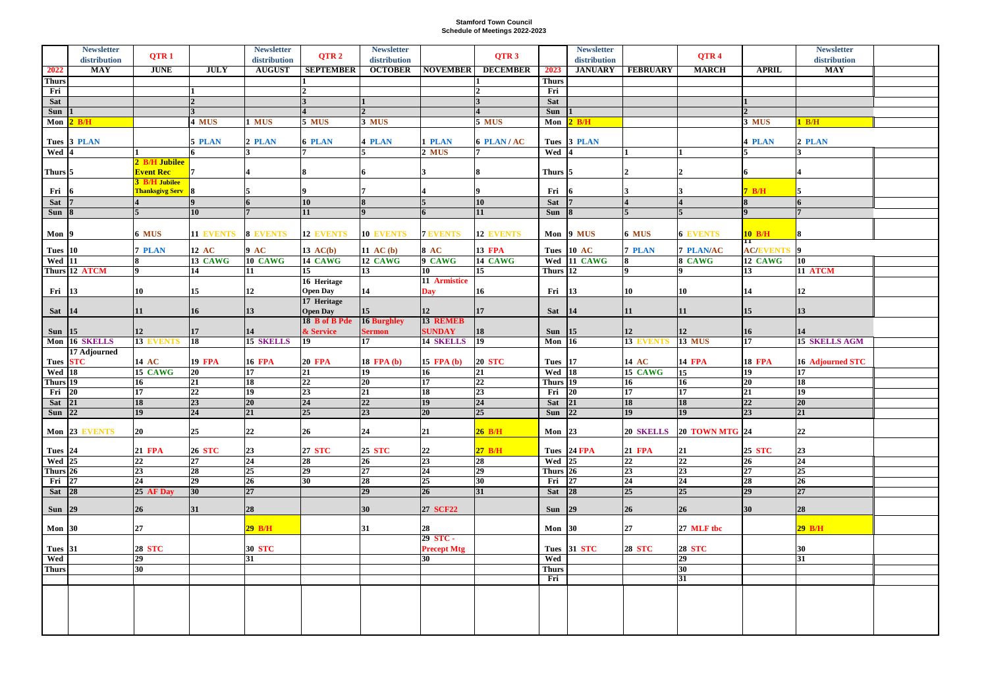## **Stamford Town Council Schedule of Meetings 2022-2023**

|                              | <b>Newsletter</b> |                          |                    | <b>Newsletter</b>    |                  | <b>Newsletter</b> |                                    |                  |                          | <b>Newsletter</b> |                  |                                    |                                | <b>Newsletter</b>      |  |
|------------------------------|-------------------|--------------------------|--------------------|----------------------|------------------|-------------------|------------------------------------|------------------|--------------------------|-------------------|------------------|------------------------------------|--------------------------------|------------------------|--|
|                              | distribution      | QTR <sub>1</sub>         |                    | distribution         | QTR <sub>2</sub> | distribution      |                                    | QTR <sub>3</sub> |                          | distribution      |                  | QTR <sub>4</sub>                   |                                | distribution           |  |
| 2022                         | MAY               | <b>JUNE</b>              | <b>JULY</b>        | <b>AUGUST</b>        | <b>SEPTEMBER</b> | <b>OCTOBER</b>    | <b>NOVEMBER</b>                    | <b>DECEMBER</b>  | 2023                     | <b>JANUARY</b>    | <b>FEBRUARY</b>  | <b>MARCH</b>                       | <b>APRIL</b>                   | MAY                    |  |
| <b>Thurs</b>                 |                   |                          |                    |                      |                  |                   |                                    |                  | <b>Thurs</b>             |                   |                  |                                    |                                |                        |  |
| Fri                          |                   |                          |                    |                      |                  |                   |                                    |                  | Fri                      |                   |                  |                                    |                                |                        |  |
| Sat                          |                   |                          |                    |                      |                  |                   |                                    |                  | <b>Sat</b>               |                   |                  |                                    |                                |                        |  |
| <b>Sun</b>                   |                   |                          |                    |                      |                  |                   |                                    |                  | <b>Sun</b>               |                   |                  |                                    |                                |                        |  |
|                              | Mon 2 B/H         |                          | 4 MUS              | 1 MUS                | 5 MUS            | 3 MUS             |                                    | 5 MUS            |                          | Mon 2 B/H         |                  |                                    | 3 MUS                          | 1 B/H                  |  |
|                              | Tues 3 PLAN       |                          | 5 PLAN             | 2 PLAN               | <b>6 PLAN</b>    | <b>4 PLAN</b>     | 1 PLAN                             | 6 PLAN/AC        |                          | Tues 3 PLAN       |                  |                                    | <b>4 PLAN</b>                  | 2 PLAN                 |  |
| Wed 4                        |                   |                          |                    |                      |                  |                   | 2 MUS                              |                  | Wed 4                    |                   |                  |                                    |                                |                        |  |
|                              |                   | 2 B/H Jubilee            |                    |                      |                  |                   |                                    |                  |                          |                   |                  |                                    |                                |                        |  |
| Thurs <sup>5</sup>           |                   | <b>Event Rec</b>         |                    |                      |                  |                   |                                    |                  | Thurs $\vert 5 \vert$    |                   |                  |                                    |                                |                        |  |
|                              |                   | <b>3 B/H Jubilee</b>     |                    |                      |                  |                   |                                    |                  |                          |                   |                  |                                    |                                |                        |  |
| Fri                          |                   | <b>Thanksgivg Serv</b> 8 |                    |                      |                  |                   |                                    |                  | Fri                      |                   |                  |                                    | 7B/H                           |                        |  |
| Sat                          |                   |                          |                    |                      | 10               |                   |                                    | 10               | <b>Sat</b>               |                   |                  |                                    |                                |                        |  |
| Sun 8                        |                   |                          | 10                 |                      | 11               |                   |                                    | 11               | Sun                      |                   |                  |                                    |                                |                        |  |
|                              |                   |                          |                    |                      |                  |                   |                                    |                  |                          |                   |                  |                                    |                                |                        |  |
| Mon $9$                      |                   | 6 MUS                    | 11 EVENTS 8 EVENTS |                      | <b>12 EVENTS</b> | <b>10 EVENTS</b>  | <b>7 EVENTS</b>                    | <b>12 EVENTS</b> |                          | Mon 9 MUS         | 6 MUS            | <b>6 EVENTS</b>                    | $10$ B/H                       | <b>8</b>               |  |
| Tues 10                      |                   | <b>7 PLAN</b>            | 12 AC              | 9AC                  | $13$ AC(b)       | 11 AC $(b)$       | <b>8 AC</b>                        | <b>13 FPA</b>    |                          | Tues 10 AC        | <b>7 PLAN</b>    | <b>7 PLAN/AC</b>                   | $\bm{\Pi}$<br><b>AC/EVENTS</b> | $\vert$ 9              |  |
| $Wed$ 11                     |                   |                          | 13 CAWG            | 10 CAWG              | 14 CAWG          | 12 CAWG           | 9 CAWG                             | 14 CAWG          |                          | Wed 11 CAWG       |                  | 8 CAWG                             | 12 CAWG                        | $\overline{10}$        |  |
|                              | Thurs 12 ATCM     | $\mathbf{o}$             | 14                 | 11                   | $\overline{15}$  | 13                | 10                                 | $\overline{15}$  | Thurs 12                 |                   |                  |                                    | 13                             | 11 ATCM                |  |
|                              |                   |                          |                    |                      | 16 Heritage      |                   | 11 Armistice                       |                  |                          |                   |                  |                                    |                                |                        |  |
| Fri 13                       |                   | 10                       | 15                 | $ 12\rangle$         | <b>Open Day</b>  | 14                | <b>Day</b>                         | 16               | Fri                      | $\vert$ 13        | $ 10\rangle$     | 10                                 | 14                             | 12                     |  |
|                              |                   |                          |                    |                      | 17 Heritage      |                   |                                    |                  |                          |                   |                  |                                    |                                |                        |  |
| Sat 14                       |                   | 11                       | 16                 | $ 13\rangle$         | <b>Open Day</b>  | <b>15</b>         | <b>12</b>                          | 17               | Sat 14                   |                   | $ 11\rangle$     | 11                                 | 15                             | 13                     |  |
|                              |                   |                          |                    |                      | 18 B of B Pde    | 16 Burghley       | 13 REMEB                           |                  |                          |                   |                  |                                    |                                |                        |  |
| Sun $15$                     |                   | 12                       | 17                 | 14                   | & Service        | <b>Sermon</b>     | <b>SUNDAY</b>                      | 18               | Sun                      | 15                | $ 12\rangle$     | <b>12</b>                          | <b>16</b>                      | 14                     |  |
|                              | Mon 16 SKELLS     | <b>13 EVENTS</b>         | $\overline{18}$    | 15 SKELLS            | $\overline{19}$  | 17                | 14 SKELLS                          | $\overline{19}$  | <b>Mon</b> 16            |                   | 13 EVENTS        | <b>13 MUS</b>                      | 17                             | <b>15 SKELLS AGM</b>   |  |
|                              | 17 Adjourned      |                          |                    |                      |                  |                   |                                    |                  |                          |                   |                  |                                    |                                |                        |  |
| Tues STC                     |                   | <b>14 AC</b>             | <b>19 FPA</b>      | <b>16 FPA</b><br> 17 | <b>20 FPA</b>    | 18 FPA (b)        | 15 FPA (b)                         | <b>20 STC</b>    | Tues 17<br><b>Wed</b> 18 |                   | 14 AC<br>15 CAWG | <b>14 FPA</b>                      | <b>18 FPA</b>                  | 16 Adjourned STC<br>17 |  |
| Wed 18<br>Thurs 19           |                   | 15 CAWG<br>16            | $ 20\rangle$<br>21 | 18                   | 21<br>22         | 19<br>20          | 16<br>$\overline{17}$              | 21<br>22         | Thurs 19                 |                   | $\overline{16}$  | $\overline{15}$<br>$\overline{16}$ | 19<br>20                       | 18                     |  |
| Fri 20                       |                   | 17                       | 22                 | $ 19\rangle$         | 23               | 21                | <b>18</b>                          | 23               | Fri                      | $\overline{20}$   | $ 17\rangle$     | $\overline{17}$                    | 21                             | 19                     |  |
| Sat 21                       |                   | 18                       | 23                 | $ 20\rangle$         | 24               | 22                | $ 19\rangle$                       | 24               | Sat                      | 21                | 18               | <b>18</b>                          | 22                             | 20                     |  |
| $\sqrt{\text{Sun}^2}$        |                   | 19                       | $\overline{24}$    | 21                   | $\overline{25}$  | $\overline{23}$   | $\overline{20}$                    | $\overline{25}$  | $S$ un 22                |                   | $\overline{19}$  | $\overline{19}$                    | $\overline{23}$                | 21                     |  |
|                              |                   |                          |                    |                      |                  |                   |                                    |                  |                          |                   |                  |                                    |                                |                        |  |
|                              | Mon 23 EVENTS     | 20                       | 25                 | 22                   | 26               | 24                | 21                                 | $26$ B/H         | Mon $ 23 $               |                   | 20 SKELLS        | $20$ TOWN MTG $24$                 |                                | 22                     |  |
|                              |                   |                          |                    |                      |                  |                   |                                    |                  |                          |                   |                  |                                    |                                |                        |  |
| Tues 24                      |                   | <b>21 FPA</b>            | <b>26 STC</b>      | 23                   | <b>27 STC</b>    | <b>25 STC</b>     | 22                                 | $27$ B/H         |                          | Tues 24 FPA       | <b>21 FPA</b>    | 21                                 | <b>25 STC</b>                  | 23                     |  |
| <b>Wed</b> 25                |                   | $\overline{22}$          | 27<br>28           | 24 <br>25            | 28<br>29         | 26<br>27          | 23<br>$\overline{24}$              | 28<br>29         | <b>Wed</b> 25            |                   | <b>22</b><br> 23 | 22<br> 23                          | 26<br>27                       | $\overline{24}$<br>25  |  |
| Thurs 26<br>Fri $\boxed{27}$ |                   | 23<br>24                 | 29                 | $\overline{26}$      | 30               | 28                | 25                                 | 30               | Thurs 26<br>Fri          | 27                | 24               | 24                                 | 28                             | $\overline{26}$        |  |
| Sat 28                       |                   | 25 AF Day                | 30                 | 27                   |                  | 29                | 26                                 | 31               | Sat 28                   |                   | 25               | 25                                 | 29                             | 27                     |  |
|                              |                   |                          |                    |                      |                  |                   |                                    |                  |                          |                   |                  |                                    |                                |                        |  |
| <b>Sun</b> 29                |                   | 26                       | 31                 | 28                   |                  | 30                | <b>27 SCF22</b>                    |                  | Sun 29                   |                   | 26               | 26                                 | 30                             | 28                     |  |
|                              |                   |                          |                    |                      |                  |                   |                                    |                  |                          |                   |                  |                                    |                                |                        |  |
| Mon $30$                     |                   | 27                       |                    | $29$ B/H             |                  | 31                | 28                                 |                  | Mon $30$                 |                   | 27               | 27 MLF tbc                         |                                | $29$ B/H               |  |
|                              |                   |                          |                    |                      |                  |                   | 29 STC -                           |                  |                          |                   |                  |                                    |                                |                        |  |
| Tues 31<br>Wed               |                   | <b>28 STC</b><br>29      |                    | <b>30 STC</b><br> 31 |                  |                   | <b>Precept Mtg</b><br>$ 30\rangle$ |                  | Wed                      | Tues 31 STC       | <b>28 STC</b>    | <b>28 STC</b><br>29                |                                | 30<br>31               |  |
| <b>Thurs</b>                 |                   | 30                       |                    |                      |                  |                   |                                    |                  | <b>Thurs</b>             |                   |                  | 30 <sup>°</sup>                    |                                |                        |  |
|                              |                   |                          |                    |                      |                  |                   |                                    |                  | Fri                      |                   |                  | 31                                 |                                |                        |  |
|                              |                   |                          |                    |                      |                  |                   |                                    |                  |                          |                   |                  |                                    |                                |                        |  |
|                              |                   |                          |                    |                      |                  |                   |                                    |                  |                          |                   |                  |                                    |                                |                        |  |
|                              |                   |                          |                    |                      |                  |                   |                                    |                  |                          |                   |                  |                                    |                                |                        |  |
|                              |                   |                          |                    |                      |                  |                   |                                    |                  |                          |                   |                  |                                    |                                |                        |  |
|                              |                   |                          |                    |                      |                  |                   |                                    |                  |                          |                   |                  |                                    |                                |                        |  |